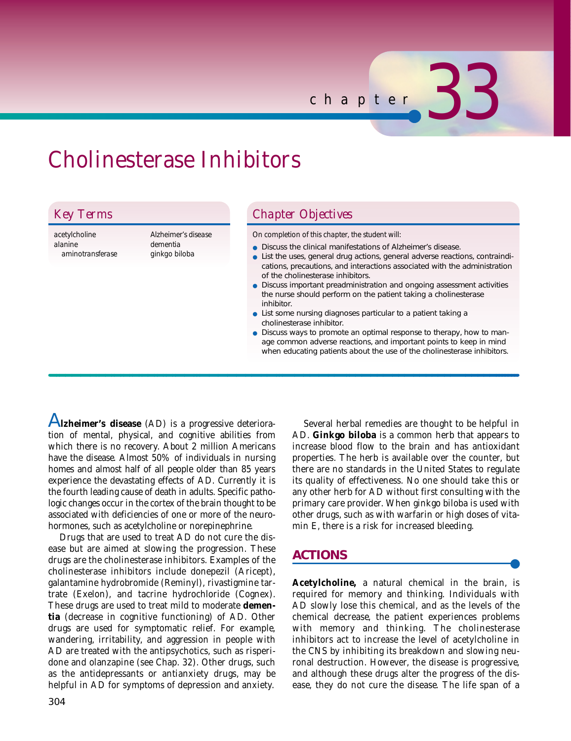*chapter* 

# Cholinesterase Inhibitors

*acetylcholine alanine aminotransferase* *Alzheimer's disease dementia ginkgo biloba*

# *Key Terms Chapter Objectives*

*On completion of this chapter, the student will:* 

- Discuss the clinical manifestations of Alzheimer's disease.
- List the uses, general drug actions, general adverse reactions, contraindications, precautions, and interactions associated with the administration of the cholinesterase inhibitors.
- Discuss important preadministration and ongoing assessment activities the nurse should perform on the patient taking a cholinesterase inhibitor.
- List some nursing diagnoses particular to a patient taking a cholinesterase inhibitor.
- Discuss ways to promote an optimal response to therapy, how to manage common adverse reactions, and important points to keep in mind when educating patients about the use of the cholinesterase inhibitors.

A**lzheimer's disease** (AD) is a progressive deterioration of mental, physical, and cognitive abilities from which there is no recovery. About 2 million Americans have the disease. Almost 50% of individuals in nursing homes and almost half of all people older than 85 years experience the devastating effects of AD. Currently it is the fourth leading cause of death in adults. Specific pathologic changes occur in the cortex of the brain thought to be associated with deficiencies of one or more of the neurohormones, such as acetylcholine or norepinephrine.

Drugs that are used to treat AD do not cure the disease but are aimed at slowing the progression. These drugs are the cholinesterase inhibitors. Examples of the cholinesterase inhibitors include donepezil (Aricept), galantamine hydrobromide (Reminyl), rivastigmine tartrate (Exelon), and tacrine hydrochloride (Cognex). These drugs are used to treat mild to moderate **dementia** (decrease in cognitive functioning) of AD. Other drugs are used for symptomatic relief. For example, wandering, irritability, and aggression in people with AD are treated with the antipsychotics, such as risperidone and olanzapine (see Chap. 32). Other drugs, such as the antidepressants or antianxiety drugs, may be helpful in AD for symptoms of depression and anxiety.

Several herbal remedies are thought to be helpful in AD. **Ginkgo biloba** is a common herb that appears to increase blood flow to the brain and has antioxidant properties. The herb is available over the counter, but there are no standards in the United States to regulate its quality of effectiveness. No one should take this or any other herb for AD without first consulting with the primary care provider. When ginkgo biloba is used with other drugs, such as with warfarin or high doses of vitamin E, there is a risk for increased bleeding.

# **ACTIONS** ●

**Acetylcholine,** a natural chemical in the brain, is required for memory and thinking. Individuals with AD slowly lose this chemical, and as the levels of the chemical decrease, the patient experiences problems with memory and thinking. The cholinesterase inhibitors act to increase the level of acetylcholine in the CNS by inhibiting its breakdown and slowing neuronal destruction. However, the disease is progressive, and although these drugs alter the progress of the disease, they do not cure the disease. The life span of a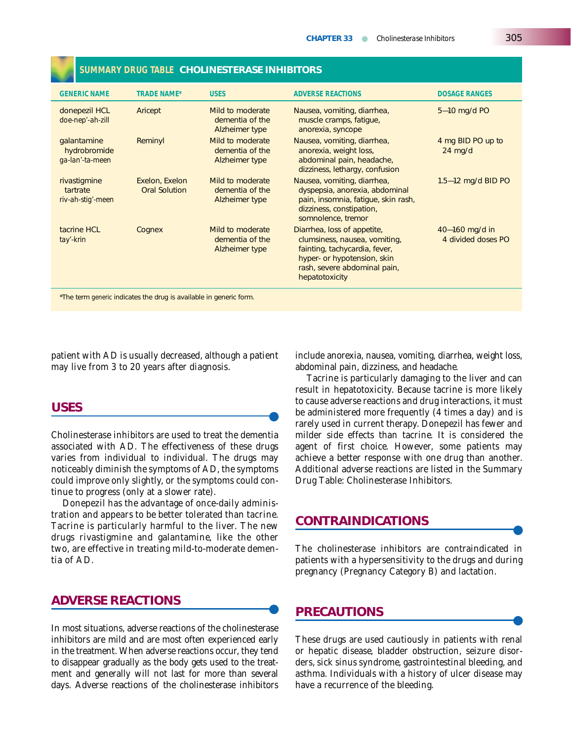| <b>GENERIC NAME</b>                                                | <b>TRADE NAME*</b>                     | <b>USES</b>                                                  | <b>ADVERSE REACTIONS</b>                                                                                                                                                       | <b>DOSAGE RANGES</b>                   |
|--------------------------------------------------------------------|----------------------------------------|--------------------------------------------------------------|--------------------------------------------------------------------------------------------------------------------------------------------------------------------------------|----------------------------------------|
| donepezil HCL<br>doe-nep'-ah-zill                                  | Aricept                                | Mild to moderate<br>dementia of the<br><b>Alzheimer type</b> | Nausea, vomiting, diarrhea,<br>muscle cramps, fatique,<br>anorexia, syncope                                                                                                    | 5-10 mg/d PO                           |
| galantamine<br>hydrobromide<br>ga-lan'-ta-meen                     | Reminyl                                | Mild to moderate<br>dementia of the<br>Alzheimer type        | Nausea, vomiting, diarrhea,<br>anorexia, weight loss,<br>abdominal pain, headache,<br>dizziness, lethargy, confusion                                                           | 4 mg BID PO up to<br>$24 \text{ mg/d}$ |
| rivastigmine<br>tartrate<br>riv-ah-stig'-meen                      | Exelon, Exelon<br><b>Oral Solution</b> | Mild to moderate<br>dementia of the<br><b>Alzheimer type</b> | Nausea, vomiting, diarrhea,<br>dyspepsia, anorexia, abdominal<br>pain, insomnia, fatique, skin rash,<br>dizziness, constipation,<br>somnolence, tremor                         | $1.5 - 12$ mg/d BID PO                 |
| tacrine HCL<br>tay'-krin                                           | Cognex                                 | Mild to moderate<br>dementia of the<br><b>Alzheimer type</b> | Diarrhea, loss of appetite,<br>clumsiness, nausea, vomiting,<br>fainting, tachycardia, fever,<br>hyper- or hypotension, skin<br>rash, severe abdominal pain,<br>hepatotoxicity | 40-160 mg/d in<br>4 divided doses PO   |
| *The term generic indicates the drug is available in generic form. |                                        |                                                              |                                                                                                                                                                                |                                        |

#### **SUMMARY DRUG TABLE CHOLINESTERASE INHIBITORS**

patient with AD is usually decreased, although a patient may live from 3 to 20 years after diagnosis.

# **USES** ●

Cholinesterase inhibitors are used to treat the dementia associated with AD. The effectiveness of these drugs varies from individual to individual. The drugs may noticeably diminish the symptoms of AD, the symptoms could improve only slightly, or the symptoms could continue to progress (only at a slower rate).

Donepezil has the advantage of once-daily administration and appears to be better tolerated than tacrine. Tacrine is particularly harmful to the liver. The new drugs rivastigmine and galantamine, like the other two, are effective in treating mild-to-moderate dementia of AD.

# **ADVERSE REACTIONS**

In most situations, adverse reactions of the cholinesterase inhibitors are mild and are most often experienced early in the treatment. When adverse reactions occur, they tend to disappear gradually as the body gets used to the treatment and generally will not last for more than several days. Adverse reactions of the cholinesterase inhibitors include anorexia, nausea, vomiting, diarrhea, weight loss, abdominal pain, dizziness, and headache.

Tacrine is particularly damaging to the liver and can result in hepatotoxicity. Because tacrine is more likely to cause adverse reactions and drug interactions, it must be administered more frequently (4 times a day) and is rarely used in current therapy. Donepezil has fewer and milder side effects than tacrine. It is considered the agent of first choice. However, some patients may achieve a better response with one drug than another. Additional adverse reactions are listed in the Summary Drug Table: Cholinesterase Inhibitors.

### **CONTRAINDICATIONS** ●

The cholinesterase inhibitors are contraindicated in patients with a hypersensitivity to the drugs and during pregnancy (Pregnancy Category B) and lactation.

## **PRECAUTIONS**

These drugs are used cautiously in patients with renal or hepatic disease, bladder obstruction, seizure disorders, sick sinus syndrome, gastrointestinal bleeding, and asthma. Individuals with a history of ulcer disease may have a recurrence of the bleeding.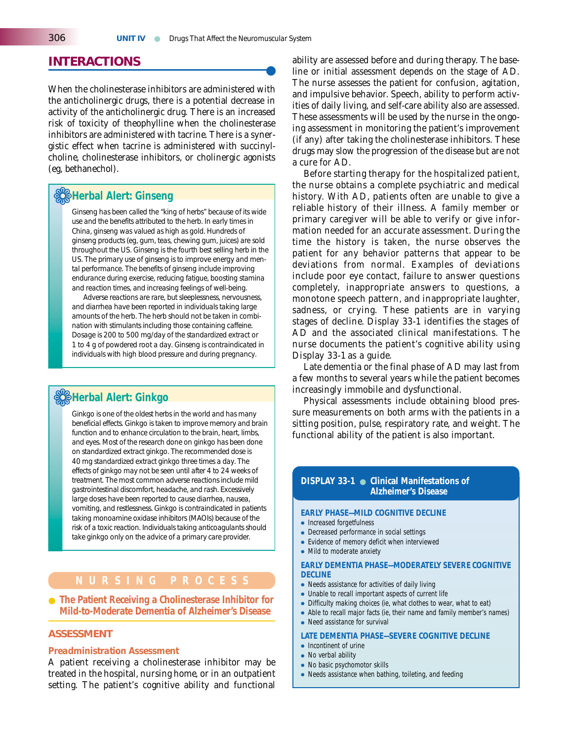# **INTERACTIONS**

When the cholinesterase inhibitors are administered with the anticholinergic drugs, there is a potential decrease in activity of the anticholinergic drug. There is an increased risk of toxicity of theophylline when the cholinesterase inhibitors are administered with tacrine. There is a synergistic effect when tacrine is administered with succinylcholine, cholinesterase inhibitors, or cholinergic agonists (eg, bethanechol).

# **SCHER ALERT: Ginseng**

*Ginseng has been called the "king of herbs" because of its wide use and the benefits attributed to the herb. In early times in China, ginseng was valued as high as gold. Hundreds of ginseng products (eg, gum, teas, chewing gum, juices) are sold throughout the US. Ginseng is the fourth best selling herb in the US. The primary use of ginseng is to improve energy and mental performance. The benefits of ginseng include improving endurance during exercise, reducing fatigue, boosting stamina and reaction times, and increasing feelings of well-being.* 

*Adverse reactions are rare, but sleeplessness, nervousness, and diarrhea have been reported in individuals taking large amounts of the herb. The herb should not be taken in combination with stimulants including those containing caffeine. Dosage is 200 to 500 mg/day of the standardized extract or 1 to 4 g of powdered root a day. Ginseng is contraindicated in individuals with high blood pressure and during pregnancy.* 

# ❁**Herbal Alert: Ginkgo**

*Ginkgo is one of the oldest herbs in the world and has many beneficial effects. Ginkgo is taken to improve memory and brain function and to enhance circulation to the brain, heart, limbs, and eyes. Most of the research done on ginkgo has been done on standardized extract ginkgo. The recommended dose is 40 mg standardized extract ginkgo three times a day. The effects of ginkgo may not be seen until after 4 to 24 weeks of treatment. The most common adverse reactions include mild gastrointestinal discomfort, headache, and rash. Excessively large doses have been reported to cause diarrhea, nausea, vomiting, and restlessness. Ginkgo is contraindicated in patients taking monoamine oxidase inhibitors (MAOIs) because of the risk of a toxic reaction. Individuals taking anticoagulants should take ginkgo only on the advice of a primary care provider.*

### **NURSING PROCESS**

#### ● **The Patient Receiving a Cholinesterase Inhibitor for Mild-to-Moderate Dementia of Alzheimer's Disease**

#### **ASSESSMENT**

#### *Preadministration Assessment*

A patient receiving a cholinesterase inhibitor may be treated in the hospital, nursing home, or in an outpatient setting. The patient's cognitive ability and functional ability are assessed before and during therapy. The baseline or initial assessment depends on the stage of AD. The nurse assesses the patient for confusion, agitation, and impulsive behavior. Speech, ability to perform activities of daily living, and self-care ability also are assessed. These assessments will be used by the nurse in the ongoing assessment in monitoring the patient's improvement (if any) after taking the cholinesterase inhibitors. These drugs may slow the progression of the disease but are not a cure for AD.

Before starting therapy for the hospitalized patient, the nurse obtains a complete psychiatric and medical history. With AD, patients often are unable to give a reliable history of their illness. A family member or primary caregiver will be able to verify or give information needed for an accurate assessment. During the time the history is taken, the nurse observes the patient for any behavior patterns that appear to be deviations from normal. Examples of deviations include poor eye contact, failure to answer questions completely, inappropriate answers to questions, a monotone speech pattern, and inappropriate laughter, sadness, or crying. These patients are in varying stages of decline. Display 33-1 identifies the stages of AD and the associated clinical manifestations. The nurse documents the patient's cognitive ability using Display 33-1 as a guide.

Late dementia or the final phase of AD may last from a few months to several years while the patient becomes increasingly immobile and dysfunctional.

Physical assessments include obtaining blood pressure measurements on both arms with the patients in a sitting position, pulse, respiratory rate, and weight. The functional ability of the patient is also important.

#### **DISPLAY 33-1** ● **Clinical Manifestations of Alzheimer's Disease**

#### **EARLY PHASE—MILD COGNITIVE DECLINE**

- Increased forgetfulness
- Decreased performance in social settings
- Evidence of memory deficit when interviewed
- Mild to moderate anxiety

#### **EARLY DEMENTIA PHASE—MODERATELY SEVERE COGNITIVE DECLINE**

- Needs assistance for activities of daily living
- Unable to recall important aspects of current life
- Difficulty making choices (ie, what clothes to wear, what to eat)
- Able to recall major facts (ie, their name and family member's names)
- Need assistance for survival

#### **LATE DEMENTIA PHASE—SEVERE COGNITIVE DECLINE**

- Incontinent of urine
- No verbal ability ● No basic psychomotor skills
- Needs assistance when bathing, toileting, and feeding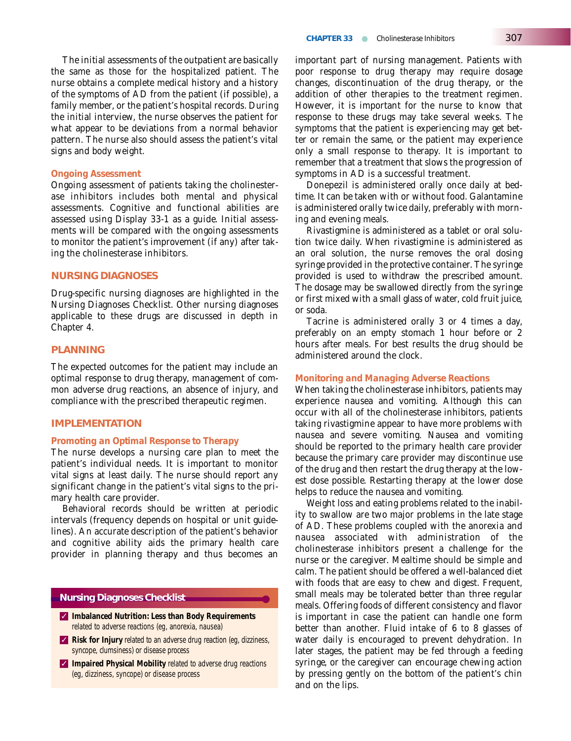The initial assessments of the outpatient are basically the same as those for the hospitalized patient. The nurse obtains a complete medical history and a history of the symptoms of AD from the patient (if possible), a family member, or the patient's hospital records. During the initial interview, the nurse observes the patient for what appear to be deviations from a normal behavior pattern. The nurse also should assess the patient's vital signs and body weight.

#### *Ongoing Assessment*

Ongoing assessment of patients taking the cholinesterase inhibitors includes both mental and physical assessments. Cognitive and functional abilities are assessed using Display 33-1 as a guide. Initial assessments will be compared with the ongoing assessments to monitor the patient's improvement (if any) after taking the cholinesterase inhibitors.

#### **NURSING DIAGNOSES**

Drug-specific nursing diagnoses are highlighted in the Nursing Diagnoses Checklist. Other nursing diagnoses applicable to these drugs are discussed in depth in Chapter 4.

#### **PLANNING**

The expected outcomes for the patient may include an optimal response to drug therapy, management of common adverse drug reactions, an absence of injury, and compliance with the prescribed therapeutic regimen.

#### **IMPLEMENTATION**

#### *Promoting an Optimal Response to Therapy*

The nurse develops a nursing care plan to meet the patient's individual needs. It is important to monitor vital signs at least daily. The nurse should report any significant change in the patient's vital signs to the primary health care provider.

Behavioral records should be written at periodic intervals (frequency depends on hospital or unit guidelines). An accurate description of the patient's behavior and cognitive ability aids the primary health care provider in planning therapy and thus becomes an

#### **Nursing Diagnoses Checklist**

- ✓ **Imbalanced Nutrition: Less than Body Requirements** related to adverse reactions (eg, anorexia, nausea)
- ✓ **Risk for Injury** related to an adverse drug reaction (eg, dizziness, syncope, clumsiness) or disease process
- ✓ **Impaired Physical Mobility** related to adverse drug reactions (eg, dizziness, syncope) or disease process

important part of nursing management. Patients with poor response to drug therapy may require dosage changes, discontinuation of the drug therapy, or the addition of other therapies to the treatment regimen. However, it is important for the nurse to know that response to these drugs may take several weeks. The symptoms that the patient is experiencing may get better or remain the same, or the patient may experience only a small response to therapy. It is important to remember that a treatment that slows the progression of symptoms in AD is a successful treatment.

Donepezil is administered orally once daily at bedtime. It can be taken with or without food. Galantamine is administered orally twice daily, preferably with morning and evening meals.

Rivastigmine is administered as a tablet or oral solution twice daily. When rivastigmine is administered as an oral solution, the nurse removes the oral dosing syringe provided in the protective container. The syringe provided is used to withdraw the prescribed amount. The dosage may be swallowed directly from the syringe or first mixed with a small glass of water, cold fruit juice, or soda.

Tacrine is administered orally 3 or 4 times a day, preferably on an empty stomach 1 hour before or 2 hours after meals. For best results the drug should be administered around the clock.

#### *Monitoring and Managing Adverse Reactions*

When taking the cholinesterase inhibitors, patients may experience nausea and vomiting. Although this can occur with all of the cholinesterase inhibitors, patients taking rivastigmine appear to have more problems with nausea and severe vomiting. Nausea and vomiting should be reported to the primary health care provider because the primary care provider may discontinue use of the drug and then restart the drug therapy at the lowest dose possible. Restarting therapy at the lower dose helps to reduce the nausea and vomiting.

Weight loss and eating problems related to the inability to swallow are two major problems in the late stage of AD. These problems coupled with the anorexia and nausea associated with administration of the cholinesterase inhibitors present a challenge for the nurse or the caregiver. Mealtime should be simple and calm. The patient should be offered a well-balanced diet with foods that are easy to chew and digest. Frequent, small meals may be tolerated better than three regular meals. Offering foods of different consistency and flavor is important in case the patient can handle one form better than another. Fluid intake of 6 to 8 glasses of water daily is encouraged to prevent dehydration. In later stages, the patient may be fed through a feeding syringe, or the caregiver can encourage chewing action by pressing gently on the bottom of the patient's chin and on the lips.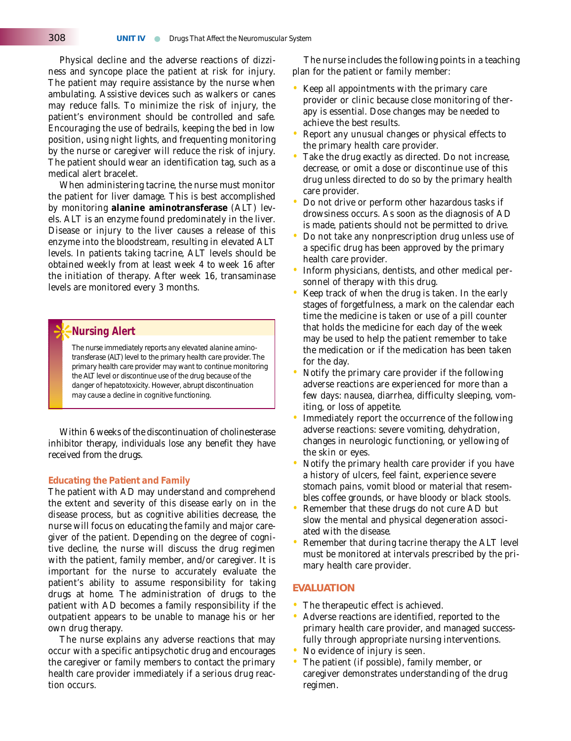Physical decline and the adverse reactions of dizziness and syncope place the patient at risk for injury. The patient may require assistance by the nurse when ambulating. Assistive devices such as walkers or canes may reduce falls. To minimize the risk of injury, the patient's environment should be controlled and safe. Encouraging the use of bedrails, keeping the bed in low position, using night lights, and frequenting monitoring by the nurse or caregiver will reduce the risk of injury. The patient should wear an identification tag, such as a medical alert bracelet.

When administering tacrine, the nurse must monitor the patient for liver damage. This is best accomplished by monitoring **alanine aminotransferase** (ALT) levels. ALT is an enzyme found predominately in the liver. Disease or injury to the liver causes a release of this enzyme into the bloodstream, resulting in elevated ALT levels. In patients taking tacrine, ALT levels should be obtained weekly from at least week 4 to week 16 after the initiation of therapy. After week 16, transaminase levels are monitored every 3 months.

#### ❊**Nursing Alert**

*The nurse immediately reports any elevated alanine aminotransferase (ALT) level to the primary health care provider. The primary health care provider may want to continue monitoring the ALT level or discontinue use of the drug because of the danger of hepatotoxicity. However, abrupt discontinuation may cause a decline in cognitive functioning.*

Within 6 weeks of the discontinuation of cholinesterase inhibitor therapy, individuals lose any benefit they have received from the drugs.

#### *Educating the Patient and Family*

The patient with AD may understand and comprehend the extent and severity of this disease early on in the disease process, but as cognitive abilities decrease, the nurse will focus on educating the family and major caregiver of the patient. Depending on the degree of cognitive decline, the nurse will discuss the drug regimen with the patient, family member, and/or caregiver. It is important for the nurse to accurately evaluate the patient's ability to assume responsibility for taking drugs at home. The administration of drugs to the patient with AD becomes a family responsibility if the outpatient appears to be unable to manage his or her own drug therapy.

The nurse explains any adverse reactions that may occur with a specific antipsychotic drug and encourages the caregiver or family members to contact the primary health care provider immediately if a serious drug reaction occurs.

The nurse includes the following points in a teaching plan for the patient or family member:

- Keep all appointments with the primary care provider or clinic because close monitoring of therapy is essential. Dose changes may be needed to achieve the best results.
- Report any unusual changes or physical effects to the primary health care provider.
- Take the drug exactly as directed. Do not increase, decrease, or omit a dose or discontinue use of this drug unless directed to do so by the primary health care provider.
- Do not drive or perform other hazardous tasks if drowsiness occurs. As soon as the diagnosis of AD is made, patients should not be permitted to drive.
- Do not take any nonprescription drug unless use of a specific drug has been approved by the primary health care provider.
- Inform physicians, dentists, and other medical personnel of therapy with this drug.
- Keep track of when the drug is taken. In the early stages of forgetfulness, a mark on the calendar each time the medicine is taken or use of a pill counter that holds the medicine for each day of the week may be used to help the patient remember to take the medication or if the medication has been taken for the day.
- Notify the primary care provider if the following adverse reactions are experienced for more than a few days: nausea, diarrhea, difficulty sleeping, vomiting, or loss of appetite.
- Immediately report the occurrence of the following adverse reactions: severe vomiting, dehydration, changes in neurologic functioning, or yellowing of the skin or eyes.
- Notify the primary health care provider if you have a history of ulcers, feel faint, experience severe stomach pains, vomit blood or material that resembles coffee grounds, or have bloody or black stools.
- Remember that these drugs do not cure AD but slow the mental and physical degeneration associated with the disease.
- Remember that during tacrine therapy the ALT level must be monitored at intervals prescribed by the primary health care provider.

#### **EVALUATION**

- The therapeutic effect is achieved.
- Adverse reactions are identified, reported to the primary health care provider, and managed successfully through appropriate nursing interventions.
- No evidence of injury is seen.
- The patient (if possible), family member, or caregiver demonstrates understanding of the drug regimen.